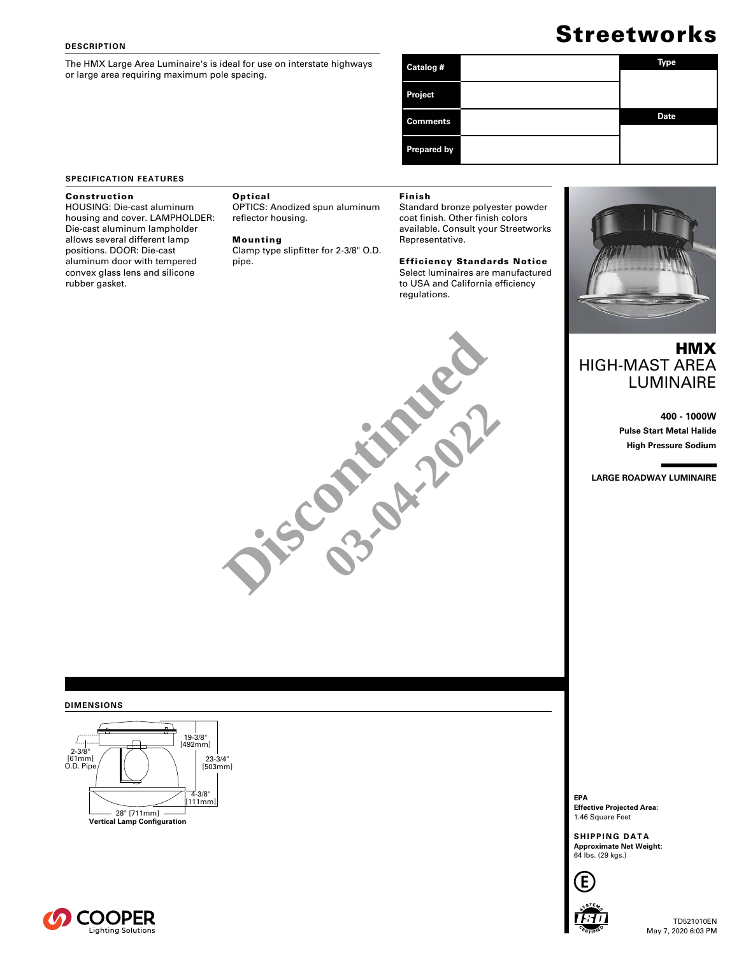### **DESCRIPTION**

The HMX Large Area Luminaire's is ideal for use on interstate highways or large area requiring maximum pole spacing.

# **Streetworks**

| Catalog #          | Type        |  |  |
|--------------------|-------------|--|--|
|                    |             |  |  |
| Project            |             |  |  |
| <b>Comments</b>    | <b>Date</b> |  |  |
| <b>Prepared by</b> |             |  |  |

### **SPECIFICATION FEATURES**

### Construction

HOUSING: Die-cast aluminum housing and cover. LAMPHOLDER: Die-cast aluminum lampholder allows several different lamp positions. DOOR: Die-cast aluminum door with tempered convex glass lens and silicone rubber gasket.

### Optical

OPTICS: Anodized spun aluminum reflector housing.

### Mounting

Clamp type slipfitter for 2-3/8" O.D. pipe.

### Finish

Standard bronze polyester powder coat finish. Other finish colors available. Consult your Streetworks Representative.

### Efficiency Standards Notice Select luminaires are manufactured to USA and California efficiency regulations.



## **HMX** HIGH-MAST AREA LUMINAIRE

**400 - 1000W Pulse Start Metal Halide High Pressure Sodium**

**LARGE ROADWAY LUMINAIRE**

# **Discontinued 03-02-2022**

### **DIMENSIONS**



**EPA Effective Projected Area:** 1.46 Square Feet

**SHIPPING DATA Approximate Net Weight:**<br>64 lbs. (29 kgs.)